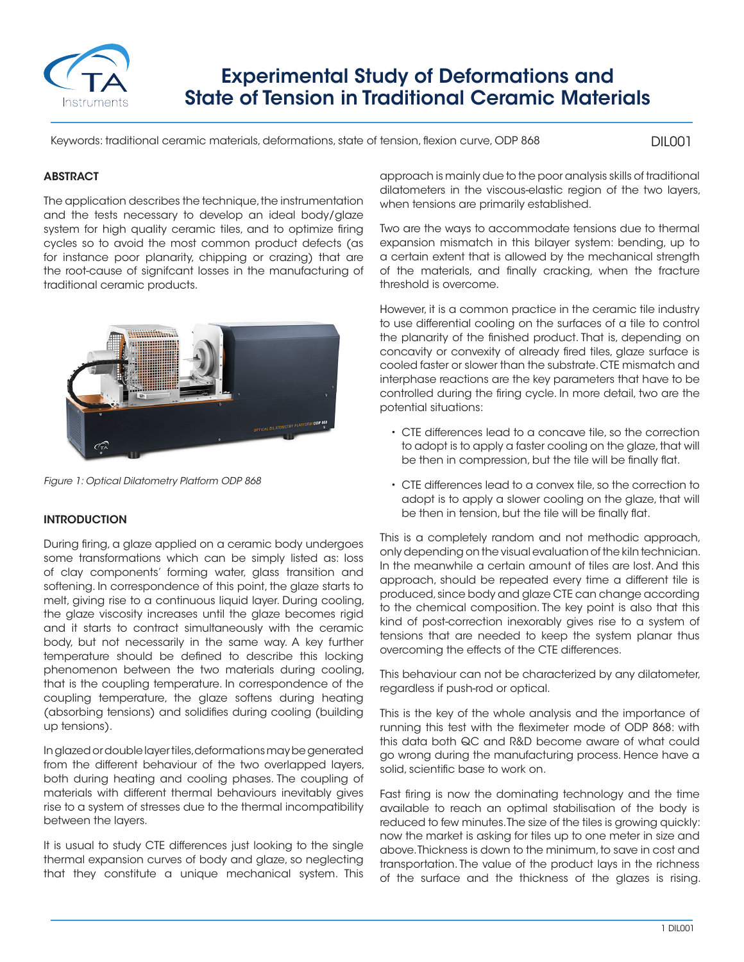

# Experimental Study of Deformations and State of Tension in Traditional Ceramic Materials

Keywords: traditional ceramic materials, deformations, state of tension, flexion curve, ODP 868

DIL001

## **ABSTRACT**

The application describes the technique, the instrumentation and the tests necessary to develop an ideal body/glaze system for high quality ceramic tiles, and to optimize firing cycles so to avoid the most common product defects (as for instance poor planarity, chipping or crazing) that are the root-cause of signifcant losses in the manufacturing of traditional ceramic products.



*Figure 1: Optical Dilatometry Platform ODP 868*

### **INTRODUCTION**

During firing, a glaze applied on a ceramic body undergoes some transformations which can be simply listed as: loss of clay components' forming water, glass transition and softening. In correspondence of this point, the glaze starts to melt, giving rise to a continuous liquid layer. During cooling, the glaze viscosity increases until the glaze becomes rigid and it starts to contract simultaneously with the ceramic body, but not necessarily in the same way. A key further temperature should be defined to describe this locking phenomenon between the two materials during cooling, that is the coupling temperature. In correspondence of the coupling temperature, the glaze softens during heating (absorbing tensions) and solidifies during cooling (building up tensions).

In glazed or double layer tiles, deformations may be generated from the different behaviour of the two overlapped layers, both during heating and cooling phases. The coupling of materials with different thermal behaviours inevitably gives rise to a system of stresses due to the thermal incompatibility between the layers.

It is usual to study CTE differences just looking to the single thermal expansion curves of body and glaze, so neglecting that they constitute a unique mechanical system. This approach is mainly due to the poor analysis skills of traditional dilatometers in the viscous-elastic region of the two layers, when tensions are primarily established.

Two are the ways to accommodate tensions due to thermal expansion mismatch in this bilayer system: bending, up to a certain extent that is allowed by the mechanical strength of the materials, and finally cracking, when the fracture threshold is overcome.

However, it is a common practice in the ceramic tile industry to use differential cooling on the surfaces of a tile to control the planarity of the finished product. That is, depending on concavity or convexity of already fired tiles, glaze surface is cooled faster or slower than the substrate. CTE mismatch and interphase reactions are the key parameters that have to be controlled during the firing cycle. In more detail, two are the potential situations:

- CTE differences lead to a concave tile, so the correction to adopt is to apply a faster cooling on the glaze, that will be then in compression, but the tile will be finally flat.
- CTE differences lead to a convex tile, so the correction to adopt is to apply a slower cooling on the glaze, that will be then in tension, but the tile will be finally flat.

This is a completely random and not methodic approach, only depending on the visual evaluation of the kiln technician. In the meanwhile a certain amount of tiles are lost. And this approach, should be repeated every time a different tile is produced, since body and glaze CTE can change according to the chemical composition. The key point is also that this kind of post-correction inexorably gives rise to a system of tensions that are needed to keep the system planar thus overcoming the effects of the CTE differences.

This behaviour can not be characterized by any dilatometer, regardless if push-rod or optical.

This is the key of the whole analysis and the importance of running this test with the fleximeter mode of ODP 868: with this data both QC and R&D become aware of what could go wrong during the manufacturing process. Hence have a solid, scientific base to work on.

Fast firing is now the dominating technology and the time available to reach an optimal stabilisation of the body is reduced to few minutes. The size of the tiles is growing quickly: now the market is asking for tiles up to one meter in size and above. Thickness is down to the minimum, to save in cost and transportation. The value of the product lays in the richness of the surface and the thickness of the glazes is rising.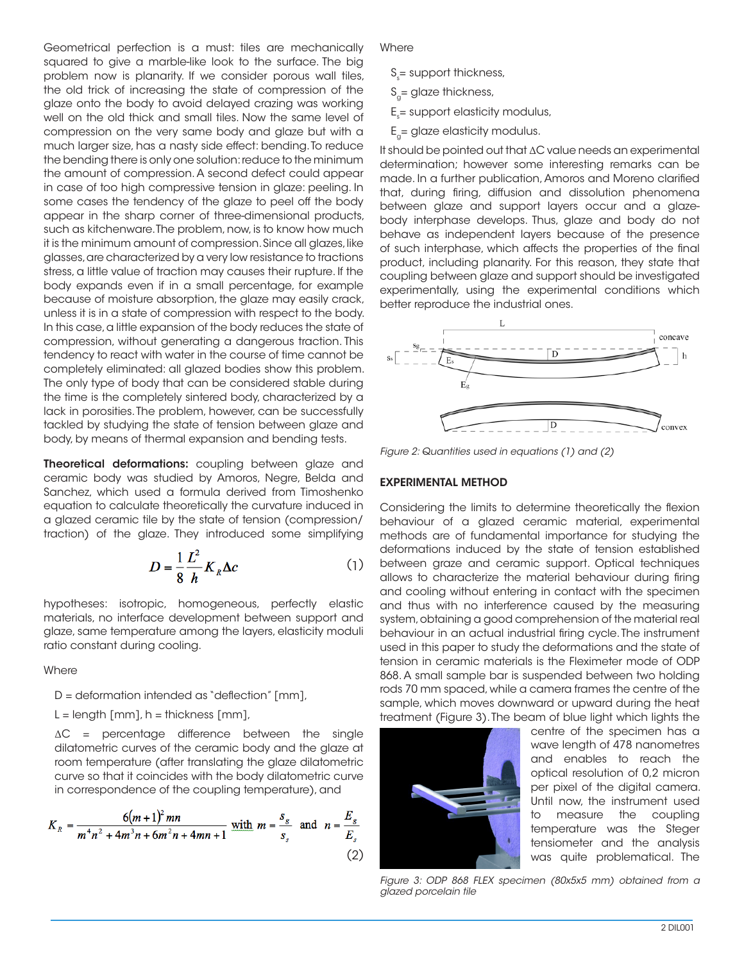Geometrical perfection is a must: tiles are mechanically squared to give a marble-like look to the surface. The big problem now is planarity. If we consider porous wall tiles, the old trick of increasing the state of compression of the glaze onto the body to avoid delayed crazing was working well on the old thick and small tiles. Now the same level of compression on the very same body and glaze but with a much larger size, has a nasty side effect: bending. To reduce the bending there is only one solution: reduce to the minimum the amount of compression. A second defect could appear in case of too high compressive tension in glaze: peeling. In some cases the tendency of the glaze to peel off the body appear in the sharp corner of three-dimensional products, such as kitchenware. The problem, now, is to know how much it is the minimum amount of compression. Since all glazes, like glasses, are characterized by a very low resistance to tractions stress, a little value of traction may causes their rupture. If the body expands even if in a small percentage, for example because of moisture absorption, the glaze may easily crack, unless it is in a state of compression with respect to the body. In this case, a little expansion of the body reduces the state of compression, without generating a dangerous traction. This tendency to react with water in the course of time cannot be completely eliminated: all glazed bodies show this problem. The only type of body that can be considered stable during the time is the completely sintered body, characterized by a lack in porosities. The problem, however, can be successfully tackled by studying the state of tension between glaze and body, by means of thermal expansion and bending tests.

**Theoretical deformations:** coupling between glaze and ceramic body was studied by Amoros, Negre, Belda and Sanchez, which used a formula derived from Timoshenko equation to calculate theoretically the curvature induced in a glazed ceramic tile by the state of tension (compression/ traction) of the glaze. They introduced some simplifying

$$
D = \frac{1}{8} \frac{L^2}{h} K_R \Delta c \tag{1}
$$

hypotheses: isotropic, homogeneous, perfectly elastic materials, no interface development between support and glaze, same temperature among the layers, elasticity moduli ratio constant during cooling.

**Where** 

D = deformation intended as "deflection" [mm],

 $L =$  length  $[mm]$ , h = thickness  $[mm]$ ,

ΔC = percentage difference between the single dilatometric curves of the ceramic body and the glaze at room temperature (after translating the glaze dilatometric curve so that it coincides with the body dilatometric curve in correspondence of the coupling temperature), and

$$
K_R = \frac{6(m+1)^2 mn}{m^4n^2 + 4m^3n + 6m^2n + 4mn + 1} \text{ with } m = \frac{s_g}{s_s} \text{ and } n = \frac{E_g}{E_s}
$$
\n(2)

**Where** 

- $\mathsf{S}_{\mathsf{s}}^{\vphantom{\dagger}}$  = support thickness,
- $S_{0}$ = glaze thickness,
- $\mathsf{E}_{\mathsf{s}}$ = support elasticity modulus,
- $E<sub>a</sub>=$  glaze elasticity modulus.

It should be pointed out that ΔC value needs an experimental determination; however some interesting remarks can be made. In a further publication, Amoros and Moreno clarified that, during firing, diffusion and dissolution phenomena between glaze and support layers occur and a glazebody interphase develops. Thus, glaze and body do not behave as independent layers because of the presence of such interphase, which affects the properties of the final product, including planarity. For this reason, they state that coupling between glaze and support should be investigated experimentally, using the experimental conditions which better reproduce the industrial ones.



*Figure 2: Quantities used in equations (1) and (2)*

#### EXPERIMENTAL METHOD

Considering the limits to determine theoretically the flexion behaviour of a glazed ceramic material, experimental methods are of fundamental importance for studying the deformations induced by the state of tension established between graze and ceramic support. Optical techniques allows to characterize the material behaviour during firing and cooling without entering in contact with the specimen and thus with no interference caused by the measuring system, obtaining a good comprehension of the material real behaviour in an actual industrial firing cycle. The instrument used in this paper to study the deformations and the state of tension in ceramic materials is the Fleximeter mode of ODP 868. A small sample bar is suspended between two holding rods 70 mm spaced, while a camera frames the centre of the sample, which moves downward or upward during the heat treatment (Figure 3). The beam of blue light which lights the



centre of the specimen has a wave length of 478 nanometres and enables to reach the optical resolution of 0,2 micron per pixel of the digital camera. Until now, the instrument used to measure the coupling temperature was the Steger tensiometer and the analysis was quite problematical. The

*Figure 3: ODP 868 FLEX specimen (80x5x5 mm) obtained from a glazed porcelain tile*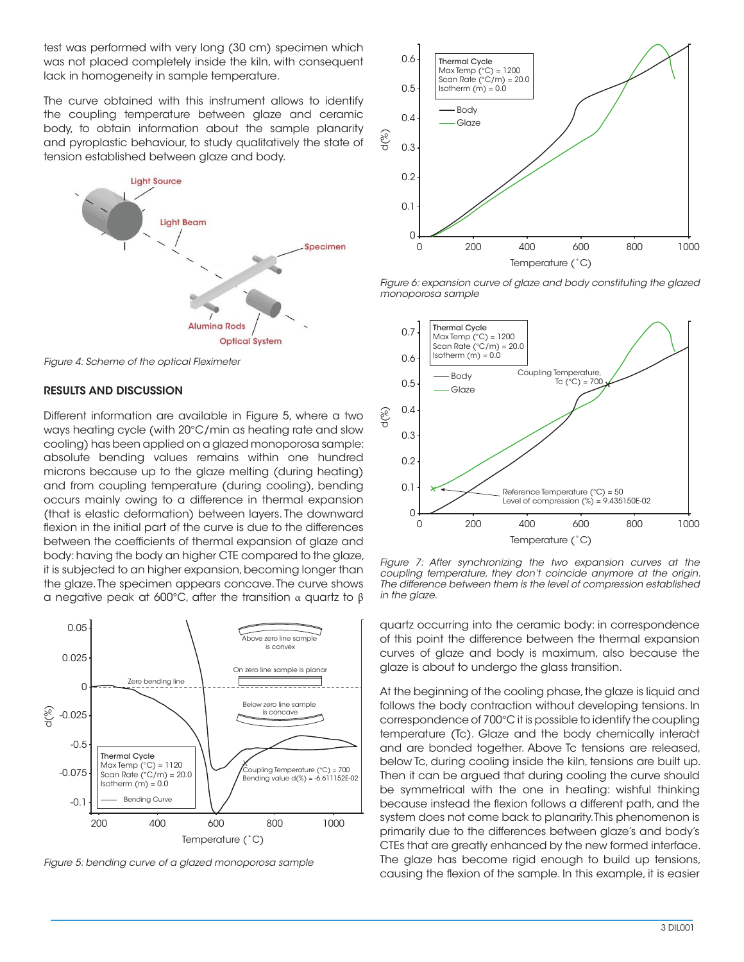test was performed with very long (30 cm) specimen which was not placed completely inside the kiln, with consequent lack in homogeneity in sample temperature.

The curve obtained with this instrument allows to identify the coupling temperature between glaze and ceramic body, to obtain information about the sample planarity and pyroplastic behaviour, to study qualitatively the state of tension established between glaze and body.



*Figure 4: Scheme of the optical Fleximeter* 

#### RESULTS AND DISCUSSION

Different information are available in Figure 5, where a two ways heating cycle (with 20°C/min as heating rate and slow cooling) has been applied on a glazed monoporosa sample: absolute bending values remains within one hundred microns because up to the glaze melting (during heating) and from coupling temperature (during cooling), bending occurs mainly owing to a difference in thermal expansion (that is elastic deformation) between layers. The downward flexion in the initial part of the curve is due to the differences between the coefficients of thermal expansion of glaze and body: having the body an higher CTE compared to the glaze, it is subjected to an higher expansion, becoming longer than the glaze. The specimen appears concave. The curve shows a negative peak at 600°C, after the transition α quartz to β



*Figure 5: bending curve of a glazed monoporosa sample*



*Figure 6: expansion curve of glaze and body constituting the glazed monoporosa sample*



*Figure 7: After synchronizing the two expansion curves at the coupling temperature, they don't coincide anymore at the origin. The difference between them is the level of compression established in the glaze.*

quartz occurring into the ceramic body: in correspondence of this point the difference between the thermal expansion curves of glaze and body is maximum, also because the glaze is about to undergo the glass transition.

At the beginning of the cooling phase, the glaze is liquid and follows the body contraction without developing tensions. In correspondence of 700°C it is possible to identify the coupling temperature (Tc). Glaze and the body chemically interact and are bonded together. Above Tc tensions are released, below Tc, during cooling inside the kiln, tensions are built up. Then it can be argued that during cooling the curve should be symmetrical with the one in heating: wishful thinking because instead the flexion follows a different path, and the system does not come back to planarity. This phenomenon is primarily due to the differences between glaze's and body's CTEs that are greatly enhanced by the new formed interface. The glaze has become rigid enough to build up tensions, causing the flexion of the sample. In this example, it is easier